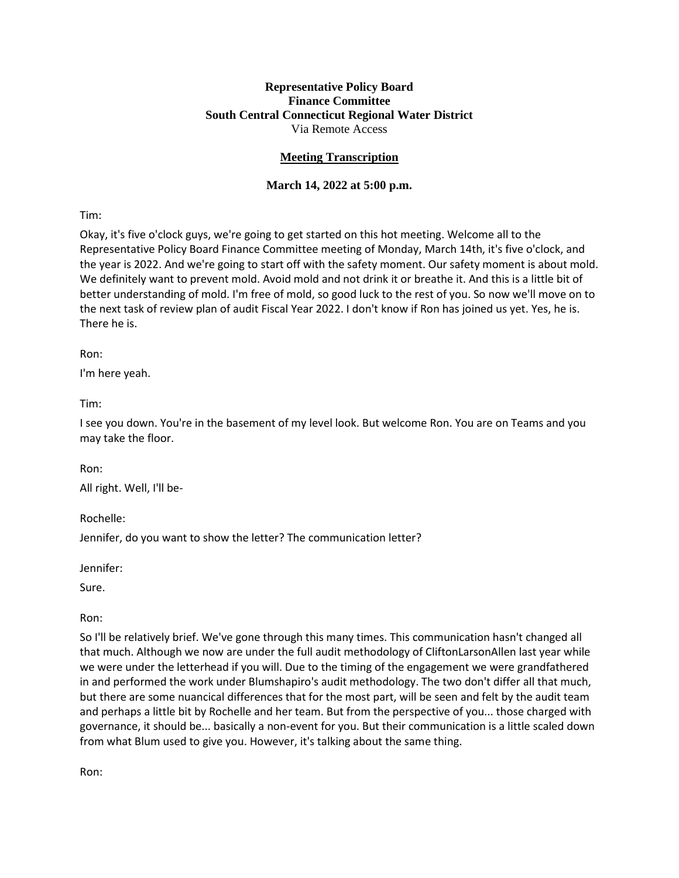## **Representative Policy Board Finance Committee South Central Connecticut Regional Water District** Via Remote Access

# **Meeting Transcription**

## **March 14, 2022 at 5:00 p.m.**

Tim:

Okay, it's five o'clock guys, we're going to get started on this hot meeting. Welcome all to the Representative Policy Board Finance Committee meeting of Monday, March 14th, it's five o'clock, and the year is 2022. And we're going to start off with the safety moment. Our safety moment is about mold. We definitely want to prevent mold. Avoid mold and not drink it or breathe it. And this is a little bit of better understanding of mold. I'm free of mold, so good luck to the rest of you. So now we'll move on to the next task of review plan of audit Fiscal Year 2022. I don't know if Ron has joined us yet. Yes, he is. There he is.

Ron:

I'm here yeah.

Tim:

I see you down. You're in the basement of my level look. But welcome Ron. You are on Teams and you may take the floor.

Ron:

All right. Well, I'll be-

Rochelle:

Jennifer, do you want to show the letter? The communication letter?

Jennifer:

Sure.

Ron:

So I'll be relatively brief. We've gone through this many times. This communication hasn't changed all that much. Although we now are under the full audit methodology of CliftonLarsonAllen last year while we were under the letterhead if you will. Due to the timing of the engagement we were grandfathered in and performed the work under Blumshapiro's audit methodology. The two don't differ all that much, but there are some nuancical differences that for the most part, will be seen and felt by the audit team and perhaps a little bit by Rochelle and her team. But from the perspective of you... those charged with governance, it should be... basically a non-event for you. But their communication is a little scaled down from what Blum used to give you. However, it's talking about the same thing.

Ron: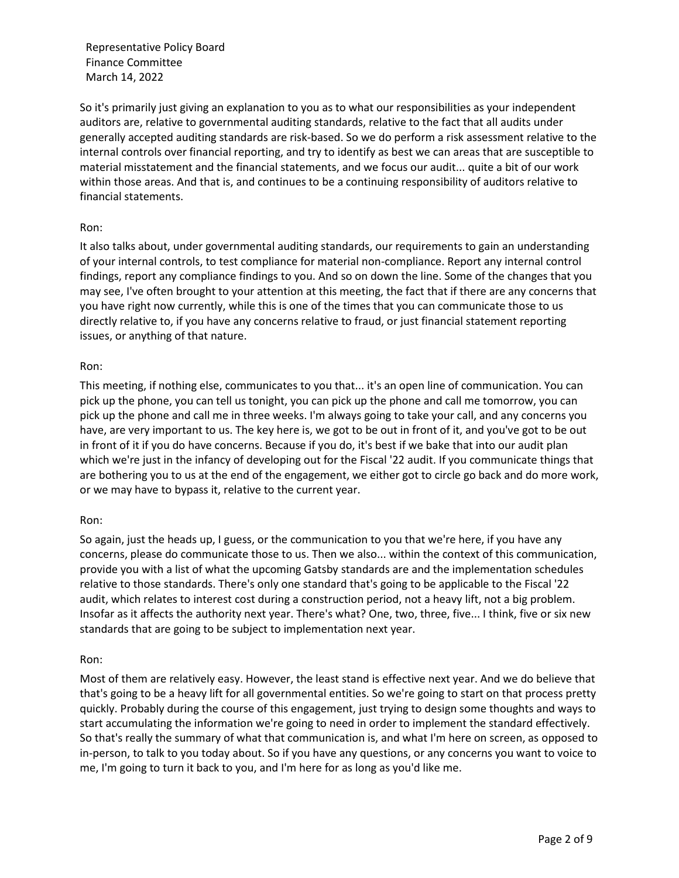So it's primarily just giving an explanation to you as to what our responsibilities as your independent auditors are, relative to governmental auditing standards, relative to the fact that all audits under generally accepted auditing standards are risk-based. So we do perform a risk assessment relative to the internal controls over financial reporting, and try to identify as best we can areas that are susceptible to material misstatement and the financial statements, and we focus our audit... quite a bit of our work within those areas. And that is, and continues to be a continuing responsibility of auditors relative to financial statements.

### Ron:

It also talks about, under governmental auditing standards, our requirements to gain an understanding of your internal controls, to test compliance for material non-compliance. Report any internal control findings, report any compliance findings to you. And so on down the line. Some of the changes that you may see, I've often brought to your attention at this meeting, the fact that if there are any concerns that you have right now currently, while this is one of the times that you can communicate those to us directly relative to, if you have any concerns relative to fraud, or just financial statement reporting issues, or anything of that nature.

### Ron:

This meeting, if nothing else, communicates to you that... it's an open line of communication. You can pick up the phone, you can tell us tonight, you can pick up the phone and call me tomorrow, you can pick up the phone and call me in three weeks. I'm always going to take your call, and any concerns you have, are very important to us. The key here is, we got to be out in front of it, and you've got to be out in front of it if you do have concerns. Because if you do, it's best if we bake that into our audit plan which we're just in the infancy of developing out for the Fiscal '22 audit. If you communicate things that are bothering you to us at the end of the engagement, we either got to circle go back and do more work, or we may have to bypass it, relative to the current year.

## Ron:

So again, just the heads up, I guess, or the communication to you that we're here, if you have any concerns, please do communicate those to us. Then we also... within the context of this communication, provide you with a list of what the upcoming Gatsby standards are and the implementation schedules relative to those standards. There's only one standard that's going to be applicable to the Fiscal '22 audit, which relates to interest cost during a construction period, not a heavy lift, not a big problem. Insofar as it affects the authority next year. There's what? One, two, three, five... I think, five or six new standards that are going to be subject to implementation next year.

#### Ron:

Most of them are relatively easy. However, the least stand is effective next year. And we do believe that that's going to be a heavy lift for all governmental entities. So we're going to start on that process pretty quickly. Probably during the course of this engagement, just trying to design some thoughts and ways to start accumulating the information we're going to need in order to implement the standard effectively. So that's really the summary of what that communication is, and what I'm here on screen, as opposed to in-person, to talk to you today about. So if you have any questions, or any concerns you want to voice to me, I'm going to turn it back to you, and I'm here for as long as you'd like me.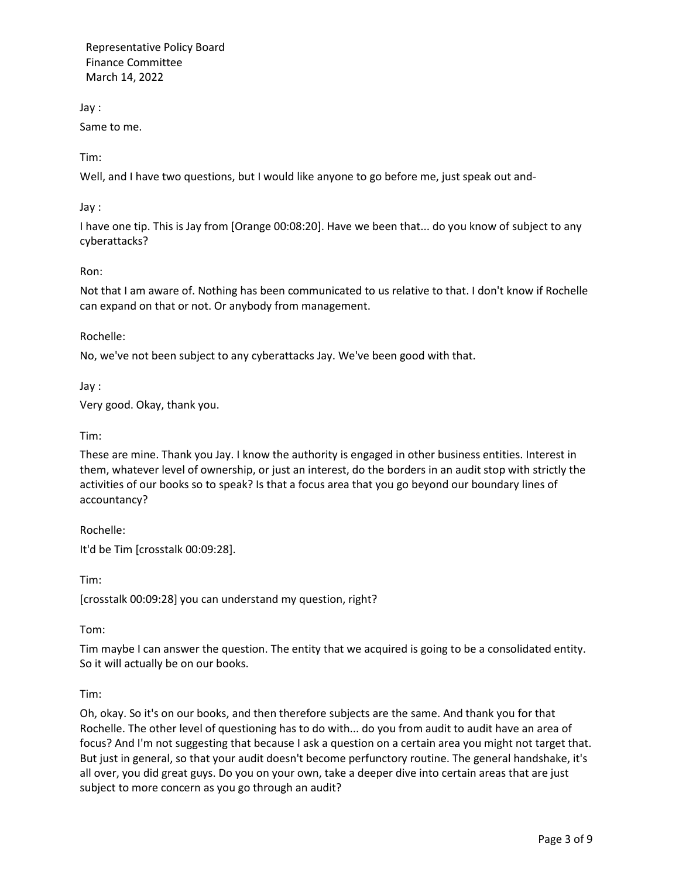Jay :

Same to me.

Tim:

Well, and I have two questions, but I would like anyone to go before me, just speak out and-

Jay :

I have one tip. This is Jay from [Orange 00:08:20]. Have we been that... do you know of subject to any cyberattacks?

Ron:

Not that I am aware of. Nothing has been communicated to us relative to that. I don't know if Rochelle can expand on that or not. Or anybody from management.

Rochelle:

No, we've not been subject to any cyberattacks Jay. We've been good with that.

Jay :

Very good. Okay, thank you.

Tim:

These are mine. Thank you Jay. I know the authority is engaged in other business entities. Interest in them, whatever level of ownership, or just an interest, do the borders in an audit stop with strictly the activities of our books so to speak? Is that a focus area that you go beyond our boundary lines of accountancy?

Rochelle:

It'd be Tim [crosstalk 00:09:28].

Tim:

[crosstalk 00:09:28] you can understand my question, right?

Tom:

Tim maybe I can answer the question. The entity that we acquired is going to be a consolidated entity. So it will actually be on our books.

Tim:

Oh, okay. So it's on our books, and then therefore subjects are the same. And thank you for that Rochelle. The other level of questioning has to do with... do you from audit to audit have an area of focus? And I'm not suggesting that because I ask a question on a certain area you might not target that. But just in general, so that your audit doesn't become perfunctory routine. The general handshake, it's all over, you did great guys. Do you on your own, take a deeper dive into certain areas that are just subject to more concern as you go through an audit?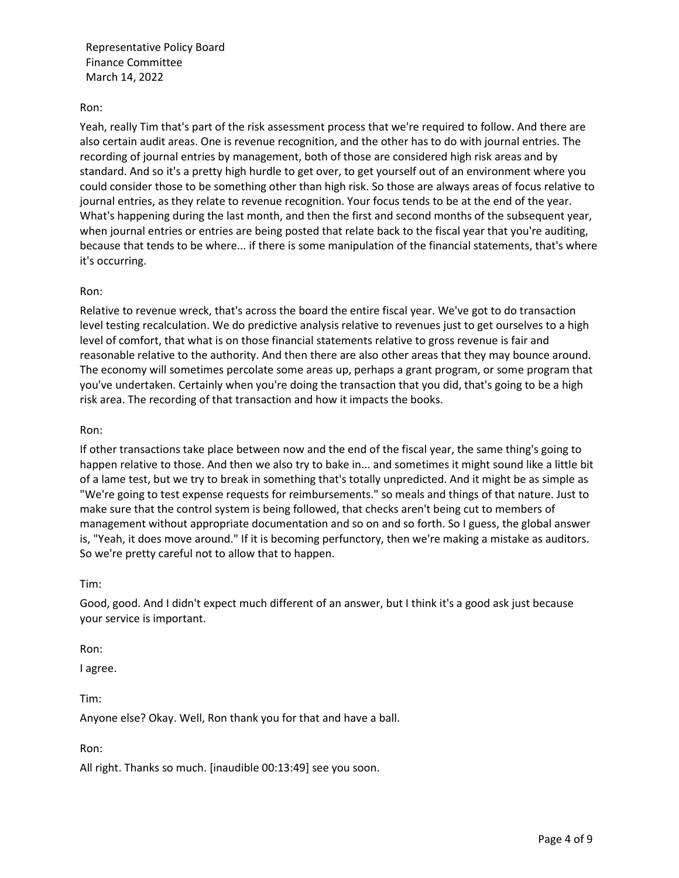## Ron:

Yeah, really Tim that's part of the risk assessment process that we're required to follow. And there are also certain audit areas. One is revenue recognition, and the other has to do with journal entries. The recording of journal entries by management, both of those are considered high risk areas and by standard. And so it's a pretty high hurdle to get over, to get yourself out of an environment where you could consider those to be something other than high risk. So those are always areas of focus relative to journal entries, as they relate to revenue recognition. Your focus tends to be at the end of the year. What's happening during the last month, and then the first and second months of the subsequent year, when journal entries or entries are being posted that relate back to the fiscal year that you're auditing, because that tends to be where... if there is some manipulation of the financial statements, that's where it's occurring.

### Ron:

Relative to revenue wreck, that's across the board the entire fiscal year. We've got to do transaction level testing recalculation. We do predictive analysis relative to revenues just to get ourselves to a high level of comfort, that what is on those financial statements relative to gross revenue is fair and reasonable relative to the authority. And then there are also other areas that they may bounce around. The economy will sometimes percolate some areas up, perhaps a grant program, or some program that you've undertaken. Certainly when you're doing the transaction that you did, that's going to be a high risk area. The recording of that transaction and how it impacts the books.

### Ron:

If other transactions take place between now and the end of the fiscal year, the same thing's going to happen relative to those. And then we also try to bake in... and sometimes it might sound like a little bit of a lame test, but we try to break in something that's totally unpredicted. And it might be as simple as "We're going to test expense requests for reimbursements." so meals and things of that nature. Just to make sure that the control system is being followed, that checks aren't being cut to members of management without appropriate documentation and so on and so forth. So I guess, the global answer is, "Yeah, it does move around." If it is becoming perfunctory, then we're making a mistake as auditors. So we're pretty careful not to allow that to happen.

#### Tim:

Good, good. And I didn't expect much different of an answer, but I think it's a good ask just because your service is important.

#### Ron:

I agree.

## Tim:

Anyone else? Okay. Well, Ron thank you for that and have a ball.

## Ron:

All right. Thanks so much. [inaudible 00:13:49] see you soon.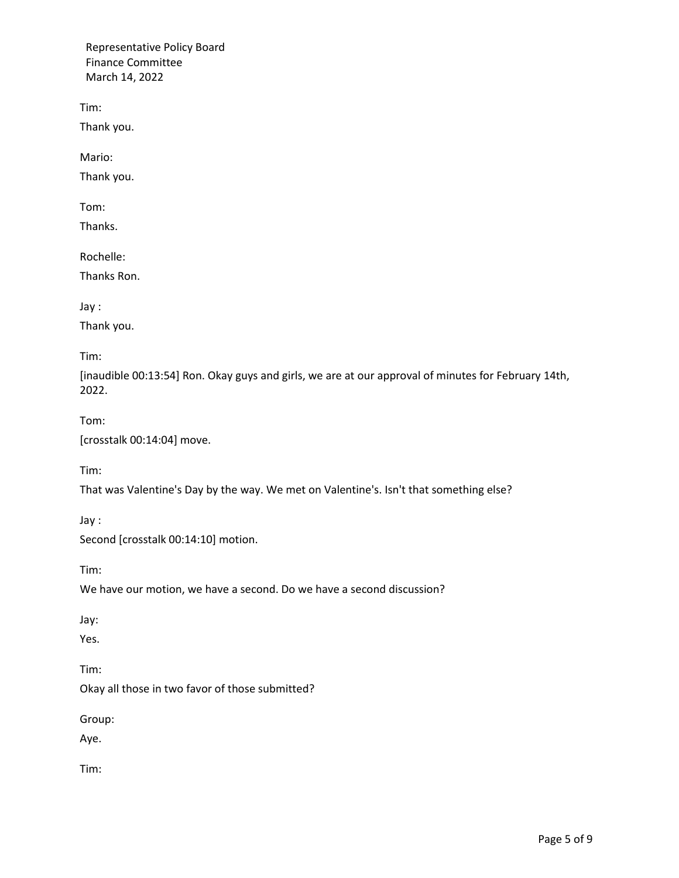Tim:

Thank you.

Mario:

Thank you.

Tom:

Thanks.

Rochelle:

Thanks Ron.

Jay :

Thank you.

Tim:

[inaudible 00:13:54] Ron. Okay guys and girls, we are at our approval of minutes for February 14th, 2022.

Tom:

[crosstalk 00:14:04] move.

Tim:

That was Valentine's Day by the way. We met on Valentine's. Isn't that something else?

Jay :

Second [crosstalk 00:14:10] motion.

Tim:

We have our motion, we have a second. Do we have a second discussion?

Jay:

Yes.

Tim:

Okay all those in two favor of those submitted?

Group:

Aye.

Tim: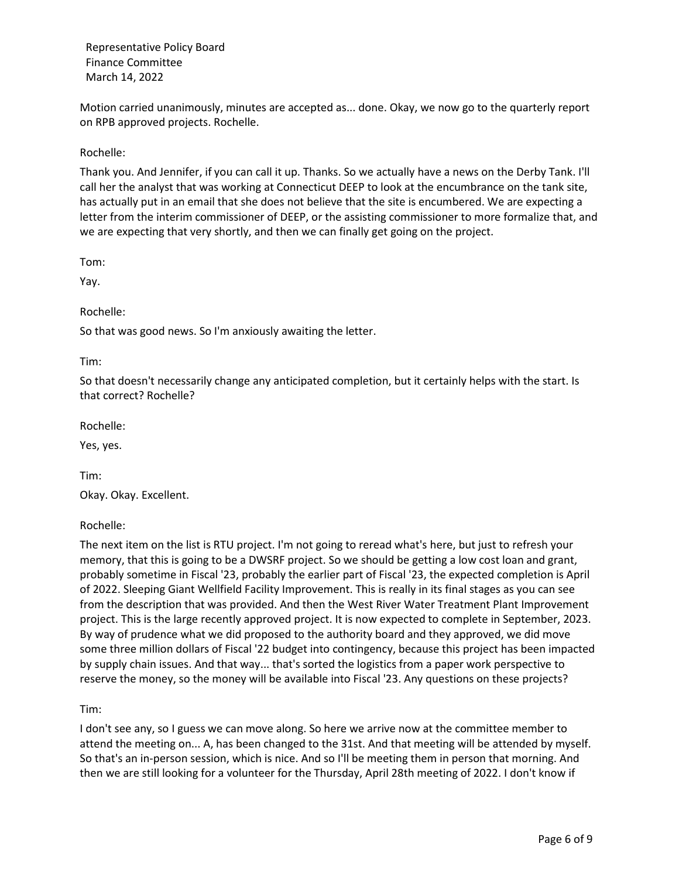Motion carried unanimously, minutes are accepted as... done. Okay, we now go to the quarterly report on RPB approved projects. Rochelle.

Rochelle:

Thank you. And Jennifer, if you can call it up. Thanks. So we actually have a news on the Derby Tank. I'll call her the analyst that was working at Connecticut DEEP to look at the encumbrance on the tank site, has actually put in an email that she does not believe that the site is encumbered. We are expecting a letter from the interim commissioner of DEEP, or the assisting commissioner to more formalize that, and we are expecting that very shortly, and then we can finally get going on the project.

Tom:

Yay.

Rochelle:

So that was good news. So I'm anxiously awaiting the letter.

Tim:

So that doesn't necessarily change any anticipated completion, but it certainly helps with the start. Is that correct? Rochelle?

Rochelle:

Yes, yes.

Tim:

Okay. Okay. Excellent.

Rochelle:

The next item on the list is RTU project. I'm not going to reread what's here, but just to refresh your memory, that this is going to be a DWSRF project. So we should be getting a low cost loan and grant, probably sometime in Fiscal '23, probably the earlier part of Fiscal '23, the expected completion is April of 2022. Sleeping Giant Wellfield Facility Improvement. This is really in its final stages as you can see from the description that was provided. And then the West River Water Treatment Plant Improvement project. This is the large recently approved project. It is now expected to complete in September, 2023. By way of prudence what we did proposed to the authority board and they approved, we did move some three million dollars of Fiscal '22 budget into contingency, because this project has been impacted by supply chain issues. And that way... that's sorted the logistics from a paper work perspective to reserve the money, so the money will be available into Fiscal '23. Any questions on these projects?

Tim:

I don't see any, so I guess we can move along. So here we arrive now at the committee member to attend the meeting on... A, has been changed to the 31st. And that meeting will be attended by myself. So that's an in-person session, which is nice. And so I'll be meeting them in person that morning. And then we are still looking for a volunteer for the Thursday, April 28th meeting of 2022. I don't know if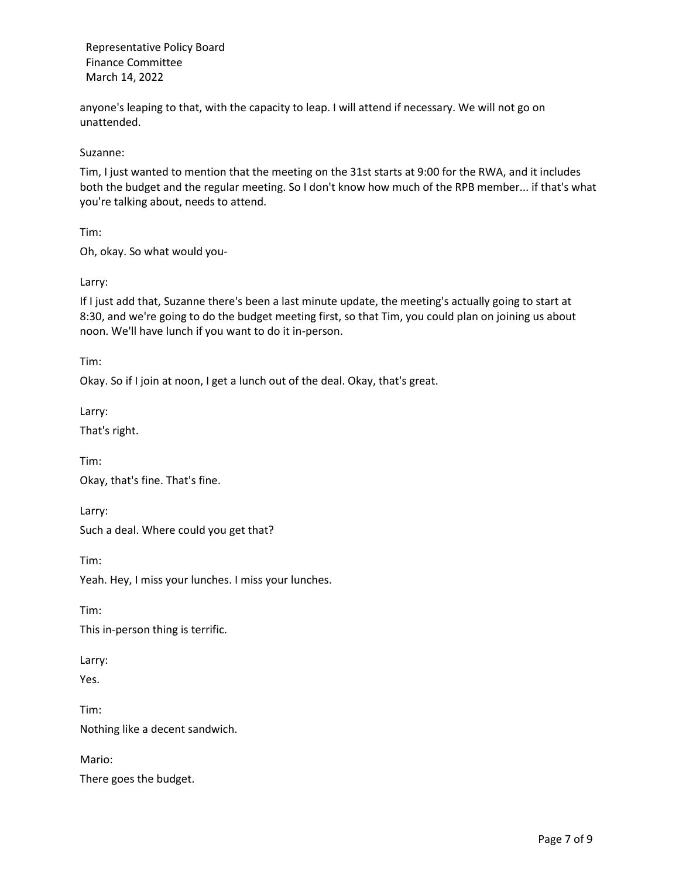anyone's leaping to that, with the capacity to leap. I will attend if necessary. We will not go on unattended.

## Suzanne:

Tim, I just wanted to mention that the meeting on the 31st starts at 9:00 for the RWA, and it includes both the budget and the regular meeting. So I don't know how much of the RPB member... if that's what you're talking about, needs to attend.

Tim:

Oh, okay. So what would you-

Larry:

If I just add that, Suzanne there's been a last minute update, the meeting's actually going to start at 8:30, and we're going to do the budget meeting first, so that Tim, you could plan on joining us about noon. We'll have lunch if you want to do it in-person.

Tim:

Okay. So if I join at noon, I get a lunch out of the deal. Okay, that's great.

Larry:

That's right.

Tim: Okay, that's fine. That's fine.

Larry:

Such a deal. Where could you get that?

Tim:

Yeah. Hey, I miss your lunches. I miss your lunches.

Tim:

This in-person thing is terrific.

Larry:

Yes.

Tim: Nothing like a decent sandwich.

Mario:

There goes the budget.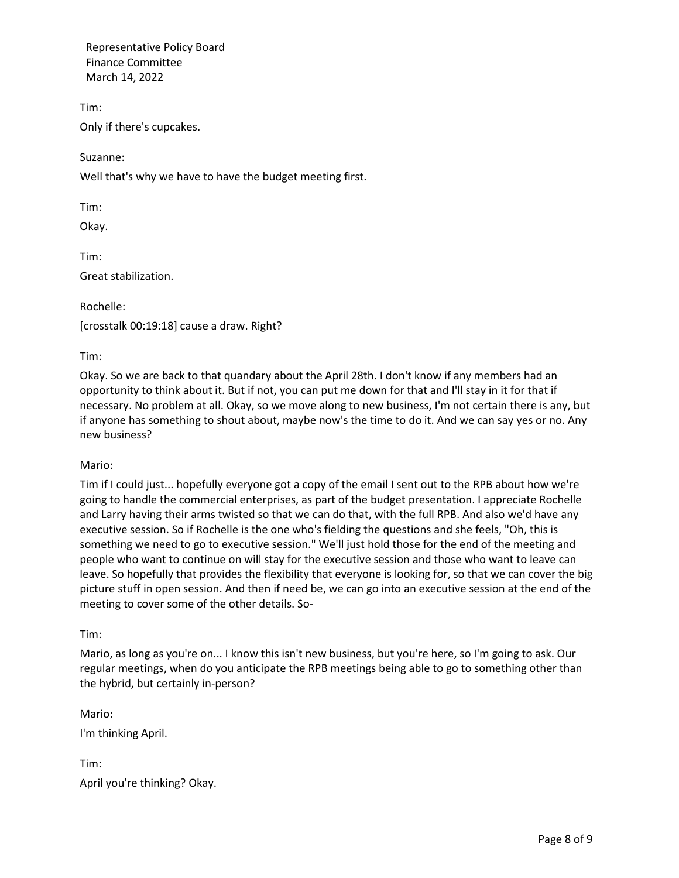Tim: Only if there's cupcakes.

Suzanne:

Well that's why we have to have the budget meeting first.

Tim:

Okay.

Tim:

Great stabilization.

Rochelle:

[crosstalk 00:19:18] cause a draw. Right?

Tim:

Okay. So we are back to that quandary about the April 28th. I don't know if any members had an opportunity to think about it. But if not, you can put me down for that and I'll stay in it for that if necessary. No problem at all. Okay, so we move along to new business, I'm not certain there is any, but if anyone has something to shout about, maybe now's the time to do it. And we can say yes or no. Any new business?

## Mario:

Tim if I could just... hopefully everyone got a copy of the email I sent out to the RPB about how we're going to handle the commercial enterprises, as part of the budget presentation. I appreciate Rochelle and Larry having their arms twisted so that we can do that, with the full RPB. And also we'd have any executive session. So if Rochelle is the one who's fielding the questions and she feels, "Oh, this is something we need to go to executive session." We'll just hold those for the end of the meeting and people who want to continue on will stay for the executive session and those who want to leave can leave. So hopefully that provides the flexibility that everyone is looking for, so that we can cover the big picture stuff in open session. And then if need be, we can go into an executive session at the end of the meeting to cover some of the other details. So-

Tim:

Mario, as long as you're on... I know this isn't new business, but you're here, so I'm going to ask. Our regular meetings, when do you anticipate the RPB meetings being able to go to something other than the hybrid, but certainly in-person?

Mario:

I'm thinking April.

Tim: April you're thinking? Okay.